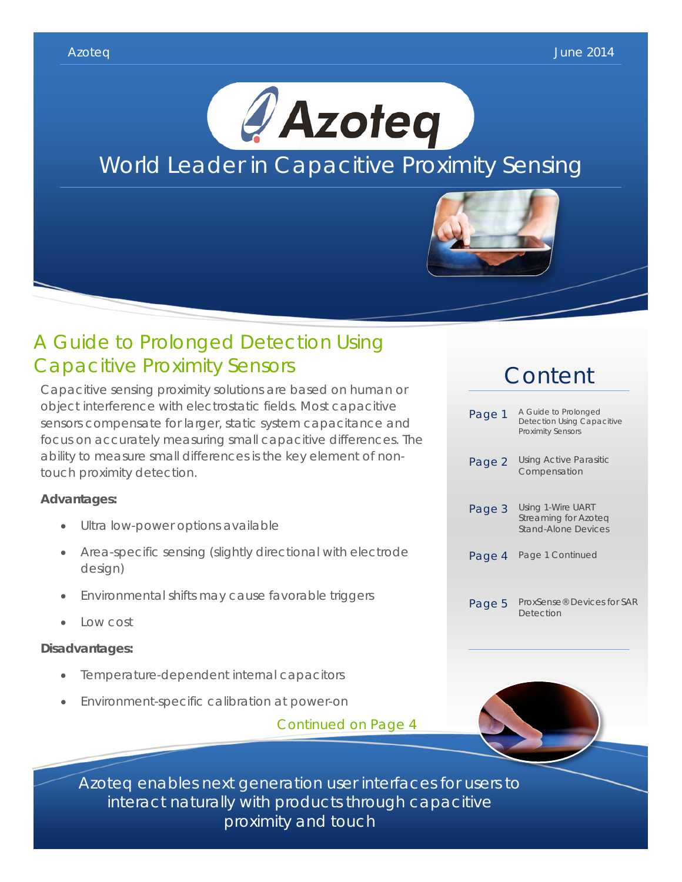



## A Guide to Prolonged Detection Using Capacitive Proximity Sensors

Capacitive sensing proximity solutions are based on human or object interference with electrostatic fields. Most capacitive sensors compensate for larger, static system capacitance and focus on accurately measuring small capacitive differences. The ability to measure small differences is the key element of nontouch proximity detection.

## **Advantages:**

- Ultra low-power options available
- Area-specific sensing (slightly directional with electrode design)
- Environmental shifts may cause favorable triggers
- Low cost

## **Disadvantages:**

- Temperature-dependent internal capacitors
- Environment-specific calibration at power-on

Continued on Page 4

# **Content**

| Page 1 | A Guide to Prolonged<br><b>Detection Using Capacitive</b><br><b>Proximity Sensors</b> |
|--------|---------------------------------------------------------------------------------------|
| Page 2 | <b>Using Active Parasitic</b><br>Compensation                                         |
| Page 3 | Using 1-Wire UART<br>Streaming for Azoteg<br><b>Stand-Alone Devices</b>               |
| Page 4 | Page 1 Continued                                                                      |
| Page 5 | ProxSense® Devices for SAR<br>Detection                                               |



Azoteq enables next generation user interfaces for users to interact naturally with products through capacitive proximity and touch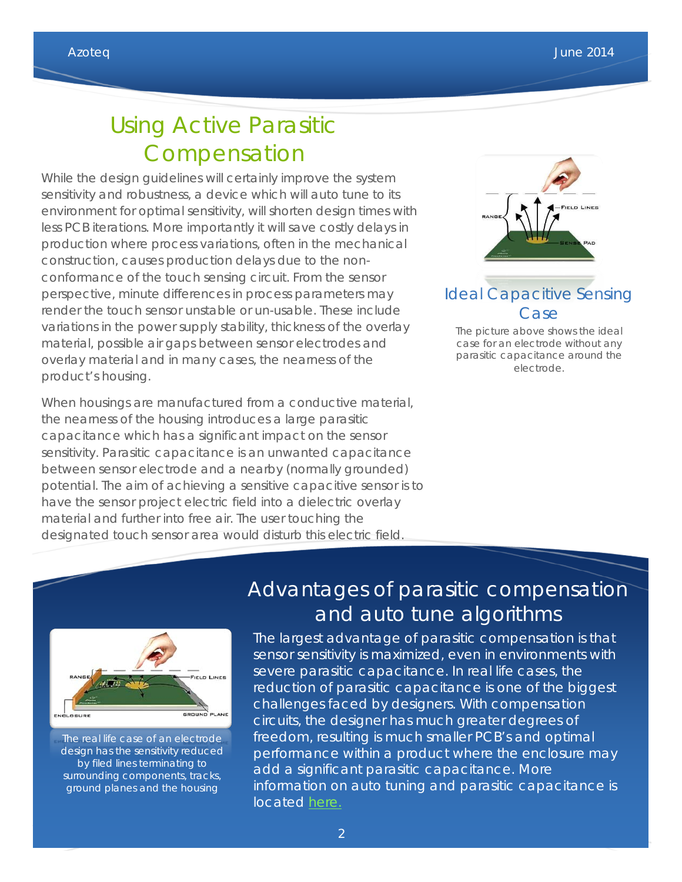# Using Active Parasitic Compensation

While the design guidelines will certainly improve the system sensitivity and robustness, a device which will auto tune to its environment for optimal sensitivity, will shorten design times with less PCB iterations. More importantly it will save costly delays in production where process variations, often in the mechanical construction, causes production delays due to the nonconformance of the touch sensing circuit. From the sensor perspective, minute differences in process parameters may render the touch sensor unstable or un-usable. These include variations in the power supply stability, thickness of the overlay material, possible air gaps between sensor electrodes and overlay material and in many cases, the nearness of the product's housing.

When housings are manufactured from a conductive material, the nearness of the housing introduces a large parasitic capacitance which has a significant impact on the sensor sensitivity. Parasitic capacitance is an unwanted capacitance between sensor electrode and a nearby (normally grounded) potential. The aim of achieving a sensitive capacitive sensor is to have the sensor project electric field into a dielectric overlay material and further into free air. The user touching the designated touch sensor area would disturb this electric field.



## Ideal Capacitive Sensing Case

The picture above shows the ideal case for an electrode without any parasitic capacitance around the electrode.



The real life case of an electrode design has the sensitivity reduced by filed lines terminating to surrounding components, tracks, ground planes and the housing

## Advantages of parasitic compensation and auto tune algorithms

The largest advantage of parasitic compensation is that sensor sensitivity is maximized, even in environments with severe parasitic capacitance. In real life cases, the reduction of parasitic capacitance is one of the biggest challenges faced by designers. With compensation circuits, the designer has much greater degrees of freedom, resulting is much smaller PCB's and optimal performance within a product where the enclosure may add a significant parasitic capacitance. More information on auto tuning and parasitic capacitance is located [here.](http://www.azoteq.com/images/stories/pdf/azd061_azoteq_auto_tuning_article.pdf)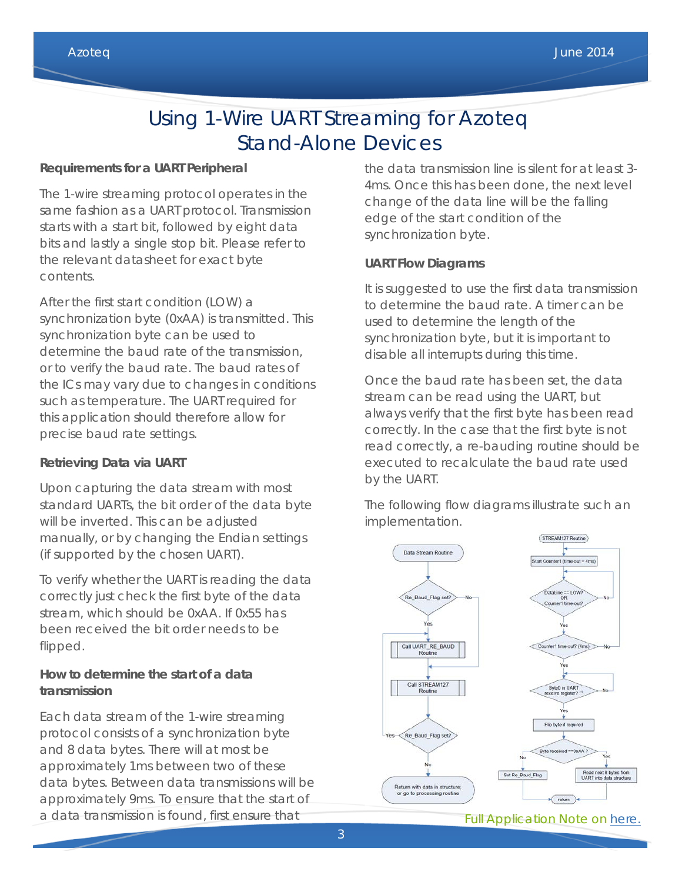## Using 1-Wire UART Streaming for Azoteq Stand-Alone Devices

## **Requirements for a UART Peripheral**

The 1-wire streaming protocol operates in the same fashion as a UART protocol. Transmission starts with a start bit, followed by eight data bits and lastly a single stop bit. Please refer to the relevant datasheet for exact byte contents.

After the first start condition (LOW) a synchronization byte (0xAA) is transmitted. This synchronization byte can be used to determine the baud rate of the transmission, or to verify the baud rate. The baud rates of the ICs may vary due to changes in conditions such as temperature. The UART required for this application should therefore allow for precise baud rate settings.

## **Retrieving Data via UART**

Upon capturing the data stream with most standard UARTs, the bit order of the data byte will be inverted. This can be adjusted manually, or by changing the Endian settings (if supported by the chosen UART).

To verify whether the UART is reading the data correctly just check the first byte of the data stream, which should be 0xAA. If 0x55 has been received the bit order needs to be flipped.

## **How to determine the start of a data transmission**

Each data stream of the 1-wire streaming protocol consists of a synchronization byte and 8 data bytes. There will at most be approximately 1ms between two of these data bytes. Between data transmissions will be approximately 9ms. To ensure that the start of a data transmission is found, first ensure that

the data transmission line is silent for at least 3- 4ms. Once this has been done, the next level change of the data line will be the falling edge of the start condition of the synchronization byte.

## **UART Flow Diagrams**

It is suggested to use the first data transmission to determine the baud rate. A timer can be used to determine the length of the synchronization byte, but it is important to disable all interrupts during this time.

Once the baud rate has been set, the data stream can be read using the UART, but always verify that the first byte has been read correctly. In the case that the first byte is not read correctly, a re-bauding routine should be executed to recalculate the baud rate used by the UART.

The following flow diagrams illustrate such an implementation.

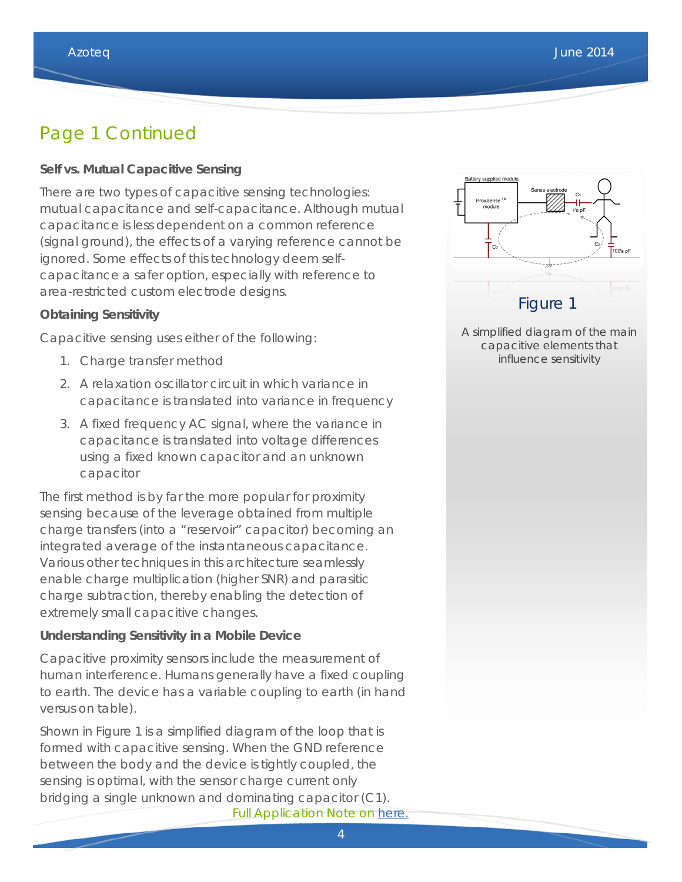## Page 1 Continued

### **Self vs. Mutual Capacitive Sensing**

There are two types of capacitive sensing technologies: mutual capacitance and self-capacitance. Although mutual capacitance is less dependent on a common reference (signal ground), the effects of a varying reference cannot be ignored. Some effects of this technology deem selfcapacitance a safer option, especially with reference to area-restricted custom electrode designs.

#### **Obtaining Sensitivity**

Capacitive sensing uses either of the following:

- 1. Charge transfer method
- 2. A relaxation oscillator circuit in which variance in capacitance is translated into variance in frequency
- 3. A fixed frequency AC signal, where the variance in capacitance is translated into voltage differences using a fixed known capacitor and an unknown capacitor

The first method is by far the more popular for proximity sensing because of the leverage obtained from multiple charge transfers (into a "reservoir" capacitor) becoming an integrated average of the instantaneous capacitance. Various other techniques in this architecture seamlessly enable charge multiplication (higher SNR) and parasitic charge subtraction, thereby enabling the detection of extremely small capacitive changes.

#### **Understanding Sensitivity in a Mobile Device**

Capacitive proximity sensors include the measurement of human interference. Humans generally have a fixed coupling to earth. The device has a variable coupling to earth (in hand versus on table).

Shown in Figure 1 is a simplified diagram of the loop that is formed with capacitive sensing. When the GND reference between the body and the device is tightly coupled, the sensing is optimal, with the sensor charge current only bridging a single unknown and dominating capacitor (C1). Full Application Note on [here.](http://www.azoteq.com/images/stories/pdf/azd080_a_guide_to_prolonged_detection_using_capacitive_proximity_sensors.pdf)



A simplified diagram of the main capacitive elements that influence sensitivity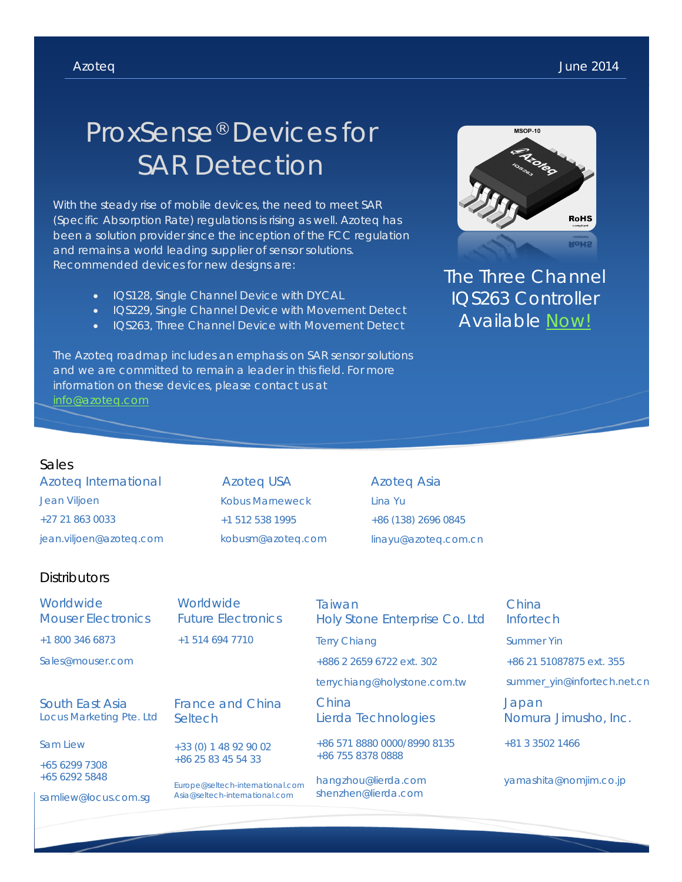# ProxSense® Devices for SAR Detection

With the steady rise of mobile devices, the need to meet SAR (Specific Absorption Rate) regulations is rising as well. Azoteq has been a solution provider since the inception of the FCC regulation and remains a world leading supplier of sensor solutions. Recommended devices for new designs are:

- IQS128, Single Channel Device with DYCAL
- IQS229, Single Channel Device with Movement Detect
- IQS263, Three Channel Device with Movement Detect

The Azoteq roadmap includes an emphasis on SAR sensor solutions and we are committed to remain a leader in this field. For more information on these devices, please contact us at



The Three Channel IQS263 Controller Available [Now!](http://www.mouser.com/ProductDetail/Azoteq/IQS263-MSR/?qs=%2fha2pyFaduiJqA25Po35fOIp7yCI%2faToViKH7vBtIo8%3d)

### Sales

Azoteq International Jean Viljoen +27 21 863 0033 jean.viljoen@azoteq.com

Azoteq USA Kobus Marneweck +1 512 538 1995 kobusm@azoteq.com Azoteq Asia Lina Yu +86 (138) 2696 0845 linayu@azoteq.com.cn

## **Distributors**

| Worldwide<br><b>Mouser Electronics</b>      | Worldwide<br><b>Future Electronics</b>                             | Taiwan<br>Holy Stone Enterprise Co. Ltd          | China<br>Infortech            |
|---------------------------------------------|--------------------------------------------------------------------|--------------------------------------------------|-------------------------------|
| +1 800 346 6873                             | +1 514 694 7710                                                    | <b>Terry Chiang</b>                              | <b>Summer Yin</b>             |
| Sales@mouser.com                            |                                                                    | +886 2 2659 6722 ext. 302                        | +86 21 51087875 ext. 355      |
|                                             |                                                                    | terrychiang@holystone.com.tw                     | summer_yin@infortech.net.cn   |
| South East Asia<br>Locus Marketing Pte. Ltd | France and China<br>Seltech                                        | China<br>Lierda Technologies                     | Japan<br>Nomura Jimusho, Inc. |
| Sam Liew                                    | +33 (0) 1 48 92 90 02<br>+86 25 83 45 54 33                        | +86 571 8880 0000/8990 8135<br>+86 755 8378 0888 | +81 3 3502 1466               |
| +65 6299 7308<br>+65 6292 5848              |                                                                    |                                                  |                               |
|                                             | Europe@seltech-international.com<br>Asia@seltech-international.com | hangzhou@lierda.com<br>shenzhen@lierda.com       | yamashita@nomjim.co.jp        |
| samliew@locus.com.sq                        |                                                                    |                                                  |                               |